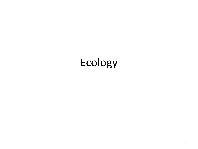## Ecology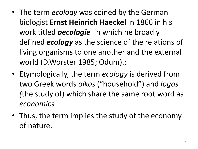- The term *ecology* was coined by the German biologist **Ernst Heinrich Haeckel** in 1866 in his work titled *oecologie* in which he broadly defined *ecology* as the science of the relations of living organisms to one another and the external world (D.Worster 1985; Odum).;
- Etymologically, the term *ecology* is derived from two Greek words *oikos* ("household") and *logos (*the study of) which share the same root word as *economics.*
- Thus, the term implies the study of the economy of nature.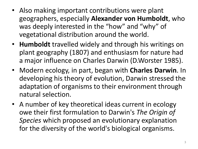- Also making important contributions were plant geographers, especially **Alexander von Humboldt**, who was deeply interested in the "how" and "why" of vegetational distribution around the world.
- **Humboldt** travelled widely and through his writings on plant geography (1807) and enthusiasm for nature had a major influence on Charles Darwin (D.Worster 1985).
- Modern ecology, in part, began with **Charles Darwin**. In developing his theory of evolution, Darwin stressed the adaptation of organisms to their environment through natural selection.
- A number of key theoretical ideas current in ecology owe their first formulation to Darwin's *The Origin of Species* which proposed an evolutionary explanation for the diversity of the world's biological organisms.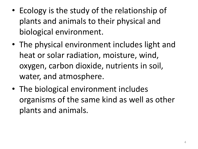- Ecology is the study of the relationship of plants and animals to their physical and biological environment.
- The physical environment includes light and heat or solar radiation, moisture, wind, oxygen, carbon dioxide, nutrients in soil, water, and atmosphere.
- The biological environment includes organisms of the same kind as well as other plants and animals.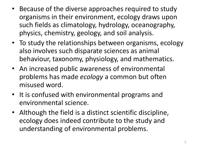- Because of the diverse approaches required to study organisms in their environment, ecology draws upon such fields as climatology, hydrology, oceanography, physics, chemistry, geology, and soil analysis.
- To study the relationships between organisms, ecology also involves such disparate sciences as animal behaviour, taxonomy, physiology, and mathematics.
- An increased public awareness of environmental problems has made *ecology* a common but often misused word.
- It is confused with environmental programs and environmental science.
- Although the field is a distinct scientific discipline, ecology does indeed contribute to the study and understanding of environmental problems.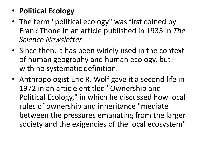- **Political Ecology**
- The term "political ecology" was first coined by Frank Thone in an article published in 1935 in *The Science Newsletter*.
- Since then, it has been widely used in the context of human geography and human ecology, but with no systematic definition.
- Anthropologist Eric R. Wolf gave it a second life in 1972 in an article entitled "Ownership and Political Ecology," in which he discussed how local rules of ownership and inheritance "mediate between the pressures emanating from the larger society and the exigencies of the local ecosystem"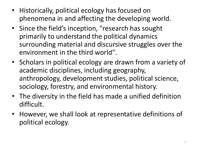- Historically, political ecology has focused on phenomena in and affecting the developing world.
- Since the field's inception, "research has sought primarily to understand the political dynamics surrounding material and discursive struggles over the environment in the third world".
- Scholars in political ecology are drawn from a variety of academic disciplines, including geography, anthropology, development studies, political science, sociology, forestry, and environmental history.
- The diversity in the field has made a unified definition difficult.
- However, we shall look at representative definitions of political ecology.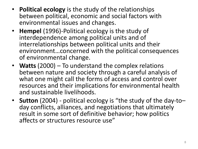- **Political ecology** is the study of the relationships between political, economic and social factors with environmental issues and changes.
- **Hempel** (1996)-Political ecology is the study of interdependence among political units and of interrelationships between political units and their environment…concerned with the political consequences of environmental change.
- **Watts** (2000) To understand the complex relations between nature and society through a careful analysis of what one might call the forms of access and control over resources and their implications for environmental health and sustainable livelihoods.
- **Sutton** (2004) political ecology is "the study of the day-to– day conflicts, alliances, and negotiations that ultimately result in some sort of definitive behavior; how politics affects or structures resource use"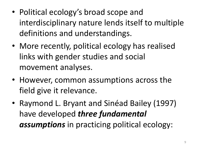- Political ecology's broad scope and interdisciplinary nature lends itself to multiple definitions and understandings.
- More recently, political ecology has realised links with gender studies and social movement analyses.
- However, common assumptions across the field give it relevance.
- Raymond L. Bryant and Sinéad Bailey (1997) have developed *three fundamental assumptions* in practicing political ecology: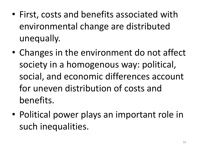- First, costs and benefits associated with environmental change are distributed unequally.
- Changes in the environment do not affect society in a homogenous way: political, social, and economic differences account for uneven distribution of costs and benefits.
- Political power plays an important role in such inequalities.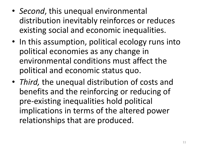- *Second*, this unequal environmental distribution inevitably reinforces or reduces existing social and economic inequalities.
- In this assumption, political ecology runs into political economies as any change in environmental conditions must affect the political and economic status quo.
- *Third,* the unequal distribution of costs and benefits and the reinforcing or reducing of pre-existing inequalities hold political implications in terms of the altered power relationships that are produced.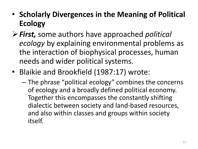- **Scholarly Divergences in the Meaning of Political Ecology**
- *First,* some authors have approached *political ecology* by explaining environmental problems as the interaction of biophysical processes, human needs and wider political systems.
- Blaikie and Brookfield (1987:17) wrote:
	- The phrase "political ecology" combines the concerns of ecology and a broadly defined political economy. Together this encompasses the constantly shifting dialectic between society and land-based resources, and also within classes and groups within society itself.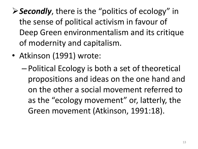- *Secondly*, there is the "politics of ecology" in the sense of political activism in favour of Deep Green environmentalism and its critique of modernity and capitalism.
- Atkinson (1991) wrote:
	- Political Ecology is both a set of theoretical propositions and ideas on the one hand and on the other a social movement referred to as the "ecology movement" or, latterly, the Green movement (Atkinson, 1991:18).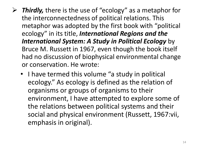- *Thirdly,* there is the use of "ecology" as a metaphor for the interconnectedness of political relations. This metaphor was adopted by the first book with "political ecology" in its title, *International Regions and the International System: A Study in Political Ecology* by Bruce M. Russett in 1967, even though the book itself had no discussion of biophysical environmental change or conservation. He wrote:
	- I have termed this volume "a study in political ecology." As ecology is defined as the relation of organisms or groups of organisms to their environment, I have attempted to explore some of the relations between political systems and their social and physical environment (Russett, 1967:vii, emphasis in original).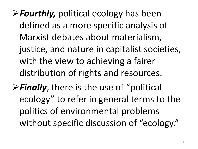- *Fourthly,* political ecology has been defined as a more specific analysis of Marxist debates about materialism, justice, and nature in capitalist societies, with the view to achieving a fairer distribution of rights and resources.
- **Finally**, there is the use of "political ecology" to refer in general terms to the politics of environmental problems without specific discussion of "ecology."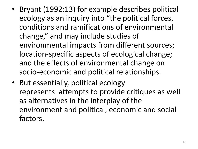- Bryant (1992:13) for example describes political ecology as an inquiry into "the political forces, conditions and ramifications of environmental change," and may include studies of environmental impacts from different sources; location-specific aspects of ecological change; and the effects of environmental change on socio-economic and political relationships.
- But essentially, political ecology represents attempts to provide critiques as well as alternatives in the interplay of the environment and political, economic and social factors.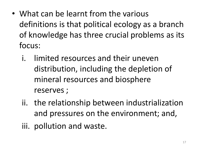- What can be learnt from the various definitions is that political ecology as a branch of knowledge has three crucial problems as its focus:
	- i. limited resources and their uneven distribution, including the depletion of mineral resources and biosphere reserves ;
	- ii. the relationship between industrialization and pressures on the environment; and,
	- iii. pollution and waste.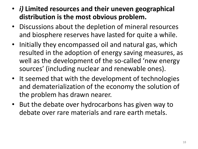- *i)* **Limited resources and their uneven geographical distribution is the most obvious problem.**
- Discussions about the depletion of mineral resources and biosphere reserves have lasted for quite a while.
- Initially they encompassed oil and natural gas, which resulted in the adoption of energy saving measures, as well as the development of the so-called 'new energy sources' (including nuclear and renewable ones).
- It seemed that with the development of technologies and dematerialization of the economy the solution of the problem has drawn nearer.
- But the debate over hydrocarbons has given way to debate over rare materials and rare earth metals.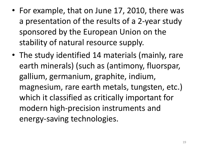- For example, that on June 17, 2010, there was a presentation of the results of a 2-year study sponsored by the European Union on the stability of natural resource supply.
- The study identified 14 materials (mainly, rare earth minerals) (such as (antimony, fluorspar, gallium, germanium, graphite, indium, magnesium, rare earth metals, tungsten, etc.) which it classified as critically important for modern high-precision instruments and energy-saving technologies.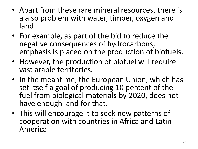- Apart from these rare mineral resources, there is a also problem with water, timber, oxygen and land.
- For example, as part of the bid to reduce the negative consequences of hydrocarbons, emphasis is placed on the production of biofuels.
- However, the production of biofuel will require vast arable territories.
- In the meantime, the European Union, which has set itself a goal of producing 10 percent of the fuel from biological materials by 2020, does not have enough land for that.
- This will encourage it to seek new patterns of cooperation with countries in Africa and Latin America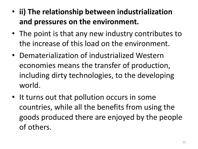- **ii) The relationship between industrialization and pressures on the environment.**
- The point is that any new industry contributes to the increase of this load on the environment.
- Dematerialization of industrialized Western economies means the transfer of production, including dirty technologies, to the developing world.
- It turns out that pollution occurs in some countries, while all the benefits from using the goods produced there are enjoyed by the people of others.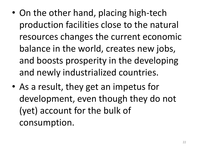- On the other hand, placing high-tech production facilities close to the natural resources changes the current economic balance in the world, creates new jobs, and boosts prosperity in the developing and newly industrialized countries.
- As a result, they get an impetus for development, even though they do not (yet) account for the bulk of consumption.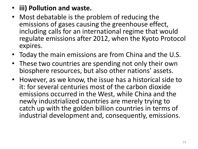## • **iii) Pollution and waste.**

- Most debatable is the problem of reducing the emissions of gases causing the greenhouse effect, including calls for an international regime that would regulate emissions after 2012, when the Kyoto Protocol expires.
- Today the main emissions are from China and the U.S.
- These two countries are spending not only their own biosphere resources, but also other nations' assets.
- However, as we know, the issue has a historical side to it: for several centuries most of the carbon dioxide emissions occurred in the West, while China and the newly industrialized countries are merely trying to catch up with the golden billion countries in terms of industrial development and, consequently, emissions.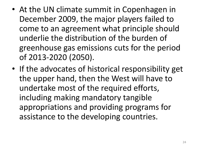- At the UN climate summit in Copenhagen in December 2009, the major players failed to come to an agreement what principle should underlie the distribution of the burden of greenhouse gas emissions cuts for the period of 2013-2020 (2050).
- If the advocates of historical responsibility get the upper hand, then the West will have to undertake most of the required efforts, including making mandatory tangible appropriations and providing programs for assistance to the developing countries.